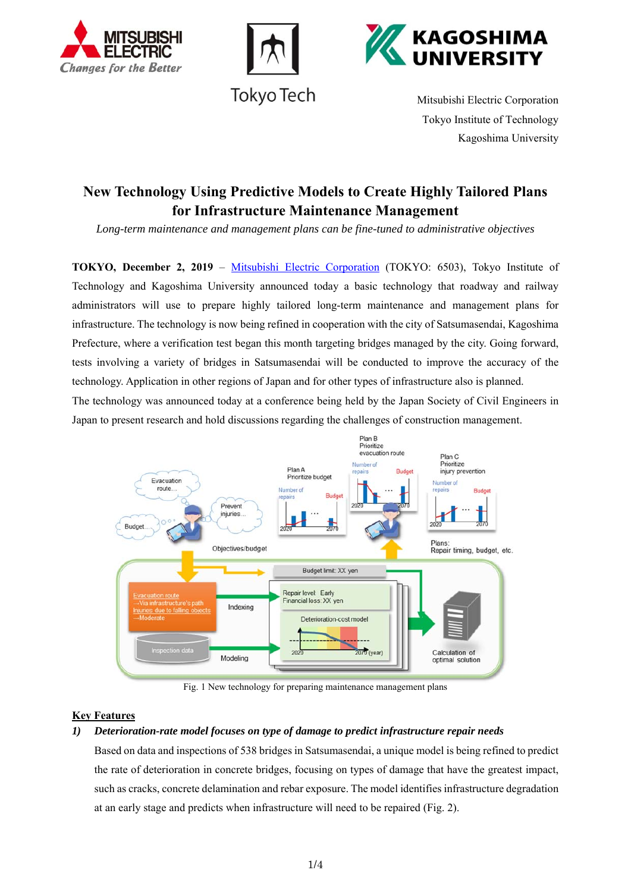





Tokyo Tech Mitsubishi Electric Corporation Tokyo Institute of Technology Kagoshima University

# **New Technology Using Predictive Models to Create Highly Tailored Plans for Infrastructure Maintenance Management**

*Long-term maintenance and management plans can be fine-tuned to administrative objectives* 

**TOKYO, December 2, 2019** – Mitsubishi Electric Corporation (TOKYO: 6503), Tokyo Institute of Technology and Kagoshima University announced today a basic technology that roadway and railway administrators will use to prepare highly tailored long-term maintenance and management plans for infrastructure. The technology is now being refined in cooperation with the city of Satsumasendai, Kagoshima Prefecture, where a verification test began this month targeting bridges managed by the city. Going forward, tests involving a variety of bridges in Satsumasendai will be conducted to improve the accuracy of the technology. Application in other regions of Japan and for other types of infrastructure also is planned. The technology was announced today at a conference being held by the Japan Society of Civil Engineers in Japan to present research and hold discussions regarding the challenges of construction management.



Fig. 1 New technology for preparing maintenance management plans

# **Key Features**

# *1) Deterioration-rate model focuses on type of damage to predict infrastructure repair needs*

Based on data and inspections of 538 bridges in Satsumasendai, a unique model is being refined to predict the rate of deterioration in concrete bridges, focusing on types of damage that have the greatest impact, such as cracks, concrete delamination and rebar exposure. The model identifies infrastructure degradation at an early stage and predicts when infrastructure will need to be repaired (Fig. 2).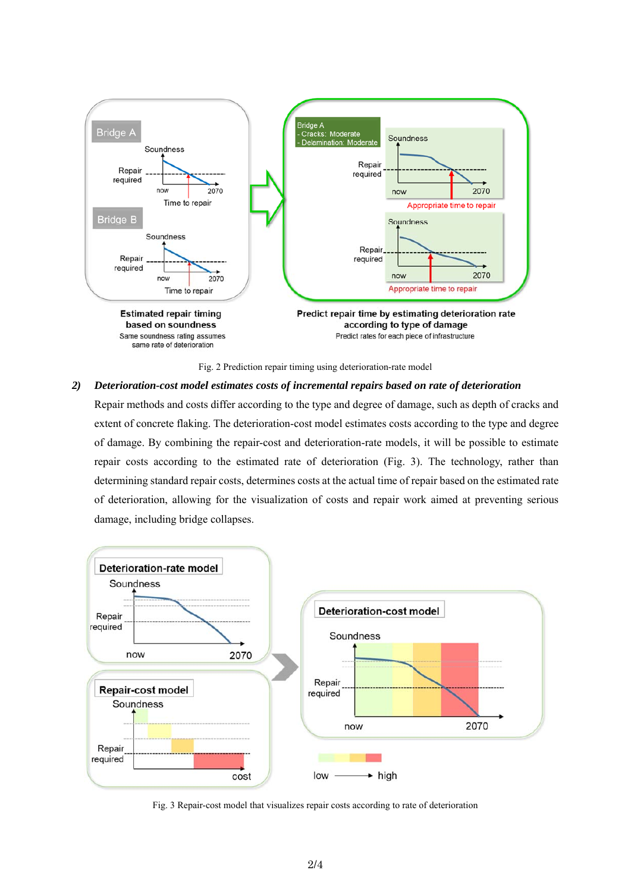



## *2) Deterioration-cost model estimates costs of incremental repairs based on rate of deterioration*

Repair methods and costs differ according to the type and degree of damage, such as depth of cracks and extent of concrete flaking. The deterioration-cost model estimates costs according to the type and degree of damage. By combining the repair-cost and deterioration-rate models, it will be possible to estimate repair costs according to the estimated rate of deterioration (Fig. 3). The technology, rather than determining standard repair costs, determines costs at the actual time of repair based on the estimated rate of deterioration, allowing for the visualization of costs and repair work aimed at preventing serious damage, including bridge collapses.



Fig. 3 Repair-cost model that visualizes repair costs according to rate of deterioration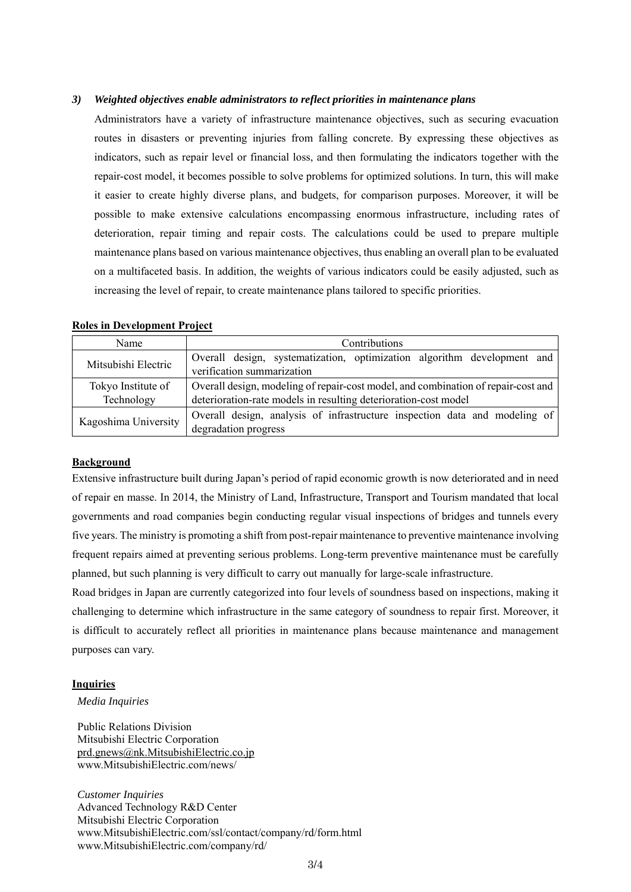## *3) Weighted objectives enable administrators to reflect priorities in maintenance plans*

Administrators have a variety of infrastructure maintenance objectives, such as securing evacuation routes in disasters or preventing injuries from falling concrete. By expressing these objectives as indicators, such as repair level or financial loss, and then formulating the indicators together with the repair-cost model, it becomes possible to solve problems for optimized solutions. In turn, this will make it easier to create highly diverse plans, and budgets, for comparison purposes. Moreover, it will be possible to make extensive calculations encompassing enormous infrastructure, including rates of deterioration, repair timing and repair costs. The calculations could be used to prepare multiple maintenance plans based on various maintenance objectives, thus enabling an overall plan to be evaluated on a multifaceted basis. In addition, the weights of various indicators could be easily adjusted, such as increasing the level of repair, to create maintenance plans tailored to specific priorities.

| Name                 | Contributions                                                                     |
|----------------------|-----------------------------------------------------------------------------------|
| Mitsubishi Electric  | Overall design, systematization, optimization algorithm development and           |
|                      | verification summarization                                                        |
| Tokyo Institute of   | Overall design, modeling of repair-cost model, and combination of repair-cost and |
| Technology           | deterioration-rate models in resulting deterioration-cost model                   |
| Kagoshima University | Overall design, analysis of infrastructure inspection data and modeling of        |
|                      | degradation progress                                                              |

# **Roles in Development Project**

## **Background**

Extensive infrastructure built during Japan's period of rapid economic growth is now deteriorated and in need of repair en masse. In 2014, the Ministry of Land, Infrastructure, Transport and Tourism mandated that local governments and road companies begin conducting regular visual inspections of bridges and tunnels every five years. The ministry is promoting a shift from post-repair maintenance to preventive maintenance involving frequent repairs aimed at preventing serious problems. Long-term preventive maintenance must be carefully planned, but such planning is very difficult to carry out manually for large-scale infrastructure.

Road bridges in Japan are currently categorized into four levels of soundness based on inspections, making it challenging to determine which infrastructure in the same category of soundness to repair first. Moreover, it is difficult to accurately reflect all priorities in maintenance plans because maintenance and management purposes can vary.

#### **Inquiries**

*Media Inquiries* 

Public Relations Division Mitsubishi Electric Corporation prd.gnews@nk.MitsubishiElectric.co.jp www.MitsubishiElectric.com/news/

*Customer Inquiries*  Advanced Technology R&D Center Mitsubishi Electric Corporation www.MitsubishiElectric.com/ssl/contact/company/rd/form.html www.MitsubishiElectric.com/company/rd/